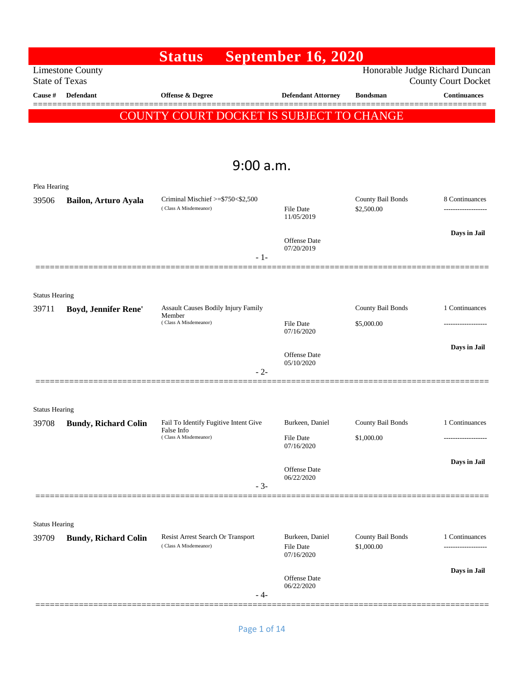|                                |                             | <b>Status</b>                                              | <b>September 16, 2020</b>      |                                 |                                                              |
|--------------------------------|-----------------------------|------------------------------------------------------------|--------------------------------|---------------------------------|--------------------------------------------------------------|
| <b>State of Texas</b>          | <b>Limestone County</b>     |                                                            |                                |                                 | Honorable Judge Richard Duncan<br><b>County Court Docket</b> |
| Cause #                        | Defendant                   | <b>Offense &amp; Degree</b>                                | <b>Defendant Attorney</b>      | <b>Bondsman</b>                 | <b>Continuances</b>                                          |
|                                |                             | COUNTY COURT DOCKET IS SUBJECT TO CHANGE                   |                                |                                 |                                                              |
|                                |                             |                                                            |                                |                                 |                                                              |
|                                |                             |                                                            |                                |                                 |                                                              |
|                                |                             | 9:00 a.m.                                                  |                                |                                 |                                                              |
| Plea Hearing                   |                             |                                                            |                                |                                 |                                                              |
| 39506                          | Bailon, Arturo Ayala        | Criminal Mischief >=\$750<\$2,500<br>(Class A Misdemeanor) | <b>File Date</b><br>11/05/2019 | County Bail Bonds<br>\$2,500.00 | 8 Continuances<br>-------------------                        |
|                                |                             |                                                            |                                |                                 | Days in Jail                                                 |
|                                |                             |                                                            | Offense Date<br>07/20/2019     |                                 |                                                              |
|                                |                             | $-1-$                                                      |                                |                                 |                                                              |
|                                |                             |                                                            |                                |                                 |                                                              |
| <b>Status Hearing</b>          |                             |                                                            |                                |                                 |                                                              |
| 39711                          | Boyd, Jennifer Rene'        | Assault Causes Bodily Injury Family<br>Member              |                                | County Bail Bonds               | 1 Continuances                                               |
|                                |                             | (Class A Misdemeanor)                                      | <b>File Date</b><br>07/16/2020 | \$5,000.00                      | ----------------                                             |
|                                |                             |                                                            | Offense Date                   |                                 | Days in Jail                                                 |
|                                |                             | $-2-$                                                      | 05/10/2020                     |                                 |                                                              |
|                                |                             |                                                            |                                |                                 |                                                              |
|                                |                             |                                                            |                                |                                 |                                                              |
| <b>Status Hearing</b><br>39708 | <b>Bundy, Richard Colin</b> | Fail To Identify Fugitive Intent Give                      | Burkeen, Daniel                | County Bail Bonds               | 1 Continuances                                               |
|                                |                             | False Info<br>(Class A Misdemeanor)                        | File Date                      | \$1,000.00                      |                                                              |
|                                |                             |                                                            | 07/16/2020                     |                                 |                                                              |
|                                |                             |                                                            | Offense Date<br>06/22/2020     |                                 | Days in Jail                                                 |
|                                |                             | $-3-$                                                      |                                |                                 |                                                              |
|                                |                             |                                                            |                                |                                 |                                                              |
| <b>Status Hearing</b>          |                             |                                                            |                                |                                 |                                                              |
| 39709                          | <b>Bundy, Richard Colin</b> | Resist Arrest Search Or Transport<br>(Class A Misdemeanor) | Burkeen, Daniel                | County Bail Bonds               | 1 Continuances                                               |
|                                |                             |                                                            | File Date<br>07/16/2020        | \$1,000.00                      | ----------------                                             |
|                                |                             |                                                            | Offense Date                   |                                 | Days in Jail                                                 |
|                                |                             | - 4-                                                       | 06/22/2020                     |                                 |                                                              |
|                                |                             |                                                            |                                |                                 |                                                              |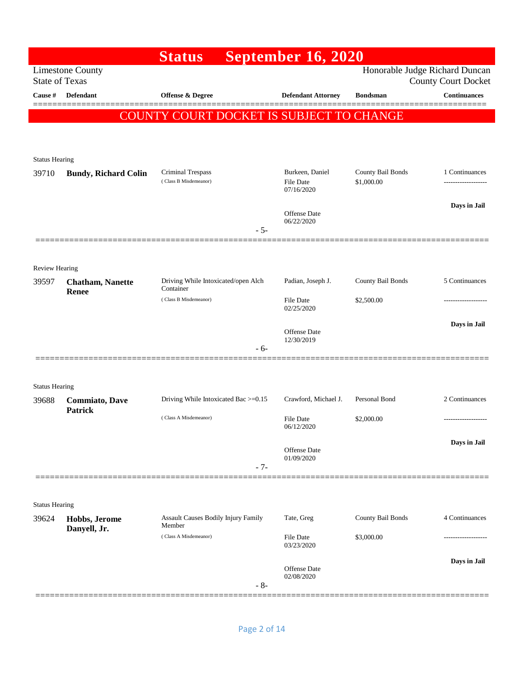|                                |                             | <b>Status</b>                              | <b>September 16, 2020</b>                         |                                 |                                                              |
|--------------------------------|-----------------------------|--------------------------------------------|---------------------------------------------------|---------------------------------|--------------------------------------------------------------|
| <b>State of Texas</b>          | <b>Limestone County</b>     |                                            |                                                   |                                 | Honorable Judge Richard Duncan<br><b>County Court Docket</b> |
| Cause #                        | Defendant                   | Offense & Degree                           | <b>Defendant Attorney</b>                         | <b>Bondsman</b>                 | <b>Continuances</b>                                          |
|                                |                             | COUNTY COURT DOCKET IS SUBJECT TO CHANGE   |                                                   |                                 |                                                              |
|                                |                             |                                            |                                                   |                                 |                                                              |
|                                |                             |                                            |                                                   |                                 |                                                              |
| <b>Status Hearing</b>          |                             |                                            |                                                   |                                 |                                                              |
| 39710                          | <b>Bundy, Richard Colin</b> | Criminal Trespass<br>(Class B Misdemeanor) | Burkeen, Daniel<br><b>File Date</b><br>07/16/2020 | County Bail Bonds<br>\$1,000.00 | 1 Continuances<br>                                           |
|                                |                             |                                            |                                                   |                                 | Days in Jail                                                 |
|                                |                             | $-5-$                                      | Offense Date<br>06/22/2020                        |                                 |                                                              |
|                                |                             |                                            |                                                   |                                 |                                                              |
|                                |                             |                                            |                                                   |                                 |                                                              |
| <b>Review Hearing</b><br>39597 | <b>Chatham, Nanette</b>     | Driving While Intoxicated/open Alch        | Padian, Joseph J.                                 | County Bail Bonds               | 5 Continuances                                               |
|                                | <b>Renee</b>                | Container<br>(Class B Misdemeanor)         | <b>File Date</b>                                  | \$2,500.00                      |                                                              |
|                                |                             |                                            | 02/25/2020                                        |                                 |                                                              |
|                                |                             |                                            | Offense Date                                      |                                 | Days in Jail                                                 |
|                                |                             | - 6-                                       | 12/30/2019                                        |                                 |                                                              |
|                                |                             |                                            |                                                   |                                 |                                                              |
| <b>Status Hearing</b>          |                             |                                            |                                                   |                                 |                                                              |
| 39688                          | <b>Commiato</b> , Dave      | Driving While Intoxicated Bac >=0.15       | Crawford, Michael J.                              | Personal Bond                   | 2 Continuances                                               |
|                                | <b>Patrick</b>              | (Class A Misdemeanor)                      | <b>File Date</b><br>06/12/2020                    | \$2,000.00                      | -------------------                                          |
|                                |                             |                                            | Offense Date                                      |                                 | Days in Jail                                                 |
|                                |                             | $-7-$                                      | 01/09/2020                                        |                                 |                                                              |
|                                |                             |                                            |                                                   |                                 |                                                              |
|                                |                             |                                            |                                                   |                                 |                                                              |
| <b>Status Hearing</b><br>39624 | Hobbs, Jerome               | Assault Causes Bodily Injury Family        | Tate, Greg                                        | County Bail Bonds               | 4 Continuances                                               |
|                                | Danyell, Jr.                | Member<br>(Class A Misdemeanor)            | <b>File Date</b>                                  | \$3,000.00                      |                                                              |
|                                |                             |                                            | 03/23/2020                                        |                                 |                                                              |
|                                |                             |                                            | Offense Date                                      |                                 | Days in Jail                                                 |
|                                |                             | $-8-$                                      | 02/08/2020                                        |                                 |                                                              |
|                                |                             |                                            |                                                   |                                 |                                                              |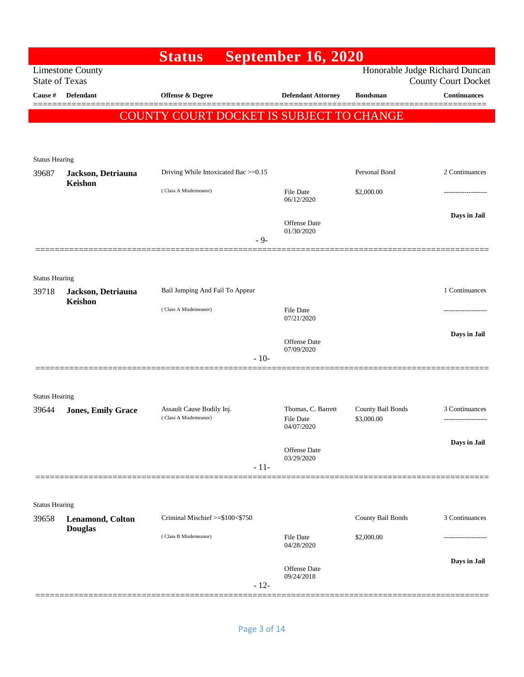|                       |                               | <b>Status</b>                                      | <b>September 16, 2020</b>              |                                 |                                                              |
|-----------------------|-------------------------------|----------------------------------------------------|----------------------------------------|---------------------------------|--------------------------------------------------------------|
| <b>State of Texas</b> | <b>Limestone County</b>       |                                                    |                                        |                                 | Honorable Judge Richard Duncan<br><b>County Court Docket</b> |
| Cause #               | <b>Defendant</b>              | Offense & Degree                                   | <b>Defendant Attorney</b>              | <b>Bondsman</b>                 | <b>Continuances</b>                                          |
|                       |                               | COUNTY COURT DOCKET IS SUBJECT TO CHANGE           |                                        |                                 |                                                              |
|                       |                               |                                                    |                                        |                                 |                                                              |
|                       |                               |                                                    |                                        |                                 |                                                              |
| <b>Status Hearing</b> |                               |                                                    |                                        |                                 |                                                              |
| 39687                 | Jackson, Detriauna<br>Keishon | Driving While Intoxicated Bac >=0.15               |                                        | Personal Bond                   | 2 Continuances                                               |
|                       |                               | (Class A Misdemeanor)                              | File Date<br>06/12/2020                | \$2,000.00                      |                                                              |
|                       |                               |                                                    |                                        |                                 | Days in Jail                                                 |
|                       |                               |                                                    | Offense Date<br>01/30/2020             |                                 |                                                              |
|                       |                               | $-9-$                                              |                                        |                                 |                                                              |
|                       |                               |                                                    |                                        |                                 |                                                              |
| <b>Status Hearing</b> |                               |                                                    |                                        |                                 |                                                              |
| 39718                 | Jackson, Detriauna<br>Keishon | Bail Jumping And Fail To Appear                    |                                        |                                 | 1 Continuances                                               |
|                       |                               | (Class A Misdemeanor)                              | File Date<br>07/21/2020                |                                 | --------------                                               |
|                       |                               |                                                    |                                        |                                 | Days in Jail                                                 |
|                       |                               |                                                    | Offense Date<br>07/09/2020             |                                 |                                                              |
|                       |                               | $-10-$                                             |                                        |                                 |                                                              |
|                       |                               |                                                    |                                        |                                 |                                                              |
| <b>Status Hearing</b> |                               |                                                    |                                        |                                 |                                                              |
| 39644                 | <b>Jones, Emily Grace</b>     | Assault Cause Bodily Inj.<br>(Class A Misdemeanor) | Thomas, C. Barrett<br><b>File Date</b> | County Bail Bonds<br>\$3,000.00 | 3 Continuances<br>-------------------                        |
|                       |                               |                                                    | 04/07/2020                             |                                 |                                                              |
|                       |                               |                                                    | Offense Date                           |                                 | Days in Jail                                                 |
|                       |                               | $-11-$                                             | 03/29/2020                             |                                 |                                                              |
|                       |                               |                                                    |                                        |                                 |                                                              |
| <b>Status Hearing</b> |                               |                                                    |                                        |                                 |                                                              |
| 39658                 | Lenamond, Colton              | Criminal Mischief >=\$100<\$750                    |                                        | County Bail Bonds               | 3 Continuances                                               |
|                       | <b>Douglas</b>                | (Class B Misdemeanor)                              | <b>File Date</b>                       | \$2,000.00                      |                                                              |
|                       |                               |                                                    | 04/28/2020                             |                                 |                                                              |
|                       |                               |                                                    | Offense Date                           |                                 | Days in Jail                                                 |
|                       |                               | $-12-$                                             | 09/24/2018                             |                                 |                                                              |
|                       |                               |                                                    |                                        |                                 |                                                              |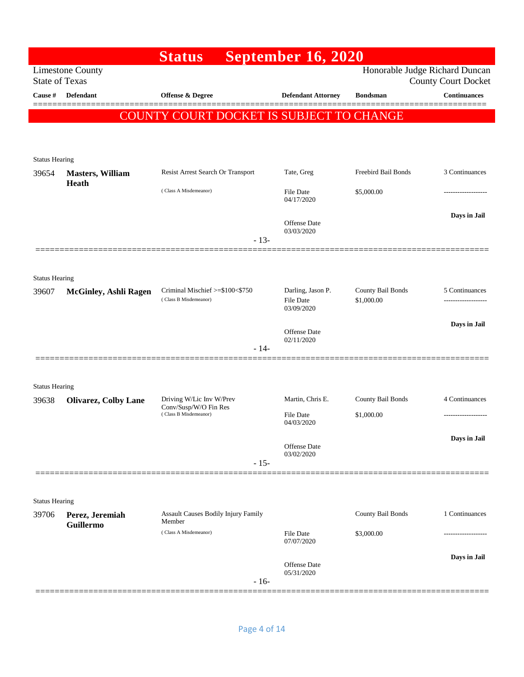|                       |                                     | <b>Status</b>                                            | <b>September 16, 2020</b>             |                                 |                            |
|-----------------------|-------------------------------------|----------------------------------------------------------|---------------------------------------|---------------------------------|----------------------------|
| <b>State of Texas</b> | <b>Limestone County</b>             |                                                          |                                       | Honorable Judge Richard Duncan  | <b>County Court Docket</b> |
| Cause $\#$            | <b>Defendant</b>                    | Offense & Degree                                         | <b>Defendant Attorney</b>             | <b>Bondsman</b>                 | <b>Continuances</b>        |
|                       |                                     | COUNTY COURT DOCKET IS SUBJECT TO CHANGE                 |                                       |                                 |                            |
|                       |                                     |                                                          |                                       |                                 |                            |
|                       |                                     |                                                          |                                       |                                 |                            |
| <b>Status Hearing</b> |                                     |                                                          |                                       |                                 |                            |
| 39654                 | <b>Masters, William</b><br>Heath    | Resist Arrest Search Or Transport                        | Tate, Greg                            | Freebird Bail Bonds             | 3 Continuances             |
|                       |                                     | (Class A Misdemeanor)                                    | File Date<br>04/17/2020               | \$5,000.00                      |                            |
|                       |                                     |                                                          |                                       |                                 | Days in Jail               |
|                       |                                     |                                                          | Offense Date<br>03/03/2020            |                                 |                            |
|                       |                                     | $-13-$                                                   |                                       |                                 |                            |
|                       |                                     |                                                          |                                       |                                 |                            |
| <b>Status Hearing</b> |                                     |                                                          |                                       |                                 |                            |
| 39607                 | <b>McGinley, Ashli Ragen</b>        | Criminal Mischief >=\$100<\$750<br>(Class B Misdemeanor) | Darling, Jason P.<br><b>File Date</b> | County Bail Bonds<br>\$1,000.00 | 5 Continuances<br>         |
|                       |                                     |                                                          | 03/09/2020                            |                                 |                            |
|                       |                                     |                                                          | <b>Offense</b> Date<br>02/11/2020     |                                 | Days in Jail               |
|                       |                                     | $-14-$                                                   |                                       |                                 |                            |
|                       |                                     |                                                          |                                       |                                 |                            |
| <b>Status Hearing</b> |                                     |                                                          |                                       |                                 |                            |
| 39638                 | <b>Olivarez, Colby Lane</b>         | Driving W/Lic Inv W/Prev<br>Conv/Susp/W/O Fin Res        | Martin, Chris E.                      | County Bail Bonds               | 4 Continuances             |
|                       |                                     | (Class B Misdemeanor)                                    | <b>File Date</b><br>04/03/2020        | \$1,000.00                      |                            |
|                       |                                     |                                                          |                                       |                                 | Days in Jail               |
|                       |                                     |                                                          | Offense Date<br>03/02/2020            |                                 |                            |
|                       |                                     | $-15-$                                                   |                                       |                                 |                            |
|                       |                                     |                                                          |                                       |                                 |                            |
| <b>Status Hearing</b> |                                     |                                                          |                                       |                                 |                            |
| 39706                 | Perez, Jeremiah<br><b>Guillermo</b> | <b>Assault Causes Bodily Injury Family</b><br>Member     |                                       | County Bail Bonds               | 1 Continuances             |
|                       |                                     | (Class A Misdemeanor)                                    | <b>File Date</b><br>07/07/2020        | \$3,000.00                      | ---------------            |
|                       |                                     |                                                          |                                       |                                 | Days in Jail               |
|                       |                                     |                                                          | <b>Offense</b> Date<br>05/31/2020     |                                 |                            |
|                       |                                     | $-16-$                                                   |                                       |                                 |                            |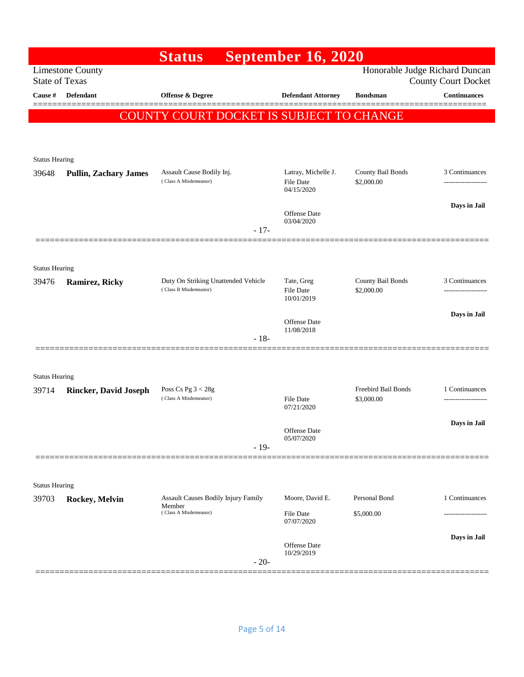|                                |                              | <b>Status</b>                                      | <b>September 16, 2020</b>                             |                                   |                            |
|--------------------------------|------------------------------|----------------------------------------------------|-------------------------------------------------------|-----------------------------------|----------------------------|
| <b>State of Texas</b>          | <b>Limestone County</b>      |                                                    |                                                       | Honorable Judge Richard Duncan    | <b>County Court Docket</b> |
| Cause #                        | Defendant                    | Offense & Degree                                   | <b>Defendant Attorney</b>                             | <b>Bondsman</b>                   | <b>Continuances</b>        |
|                                |                              | COUNTY COURT DOCKET IS SUBJECT TO CHANGE           |                                                       |                                   |                            |
|                                |                              |                                                    |                                                       |                                   |                            |
|                                |                              |                                                    |                                                       |                                   |                            |
| <b>Status Hearing</b>          |                              |                                                    |                                                       |                                   |                            |
| 39648                          | <b>Pullin, Zachary James</b> | Assault Cause Bodily Inj.<br>(Class A Misdemeanor) | Latray, Michelle J.<br><b>File Date</b><br>04/15/2020 | County Bail Bonds<br>\$2,000.00   | 3 Continuances             |
|                                |                              |                                                    | Offense Date<br>03/04/2020                            |                                   | Days in Jail               |
|                                |                              | $-17-$                                             |                                                       |                                   |                            |
|                                |                              |                                                    |                                                       |                                   |                            |
| <b>Status Hearing</b><br>39476 | <b>Ramirez, Ricky</b>        | Duty On Striking Unattended Vehicle                | Tate, Greg                                            | County Bail Bonds                 | 3 Continuances             |
|                                |                              | (Class B Misdemeanor)                              | <b>File Date</b><br>10/01/2019                        | \$2,000.00                        |                            |
|                                |                              |                                                    | Offense Date                                          |                                   | Days in Jail               |
|                                |                              | $-18-$                                             | 11/08/2018                                            |                                   |                            |
|                                |                              |                                                    |                                                       |                                   |                            |
| <b>Status Hearing</b>          |                              |                                                    |                                                       |                                   |                            |
| 39714                          | <b>Rincker, David Joseph</b> | Poss Cs Pg $3 < 28g$<br>(Class A Misdemeanor)      | <b>File Date</b>                                      | Freebird Bail Bonds<br>\$3,000.00 | 1 Continuances             |
|                                |                              |                                                    | 07/21/2020                                            |                                   |                            |
|                                |                              |                                                    | Offense Date                                          |                                   | Days in Jail               |
|                                |                              | $-19-$                                             | 05/07/2020                                            |                                   |                            |
|                                |                              |                                                    |                                                       |                                   |                            |
| <b>Status Hearing</b>          |                              |                                                    |                                                       |                                   |                            |
| 39703                          | Rockey, Melvin               | Assault Causes Bodily Injury Family<br>Member      | Moore, David E.                                       | Personal Bond                     | 1 Continuances             |
|                                |                              | (Class A Misdemeanor)                              | File Date<br>07/07/2020                               | \$5,000.00                        |                            |
|                                |                              |                                                    | Offense Date                                          |                                   | Days in Jail               |
|                                |                              | $-20-$                                             | 10/29/2019                                            |                                   |                            |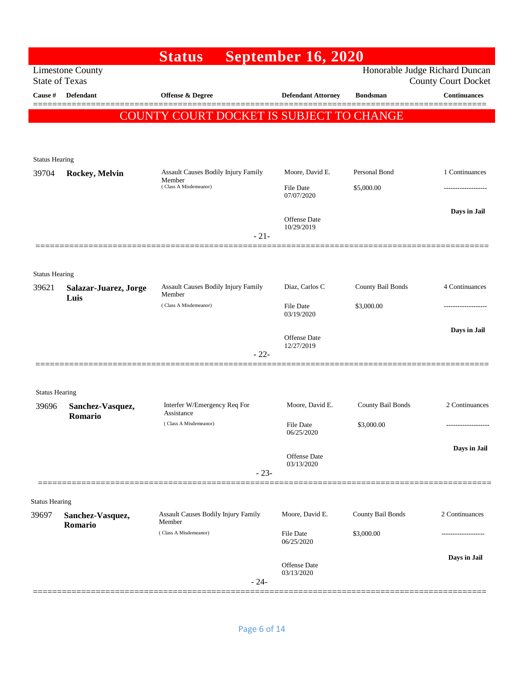|                       |                                                  | <b>Status</b>                                 | <b>September 16, 2020</b>         |                          |                                                              |
|-----------------------|--------------------------------------------------|-----------------------------------------------|-----------------------------------|--------------------------|--------------------------------------------------------------|
|                       | <b>Limestone County</b><br><b>State of Texas</b> |                                               |                                   |                          | Honorable Judge Richard Duncan<br><b>County Court Docket</b> |
| Cause #               | <b>Defendant</b>                                 | Offense & Degree                              | <b>Defendant Attorney</b>         | <b>Bondsman</b>          | <b>Continuances</b>                                          |
|                       |                                                  | COUNTY COURT DOCKET IS SUBJECT TO CHANGE      |                                   |                          |                                                              |
|                       |                                                  |                                               |                                   |                          |                                                              |
|                       |                                                  |                                               |                                   |                          |                                                              |
| <b>Status Hearing</b> |                                                  |                                               |                                   |                          |                                                              |
| 39704                 | Rockey, Melvin                                   | Assault Causes Bodily Injury Family<br>Member | Moore, David E.                   | Personal Bond            | 1 Continuances                                               |
|                       |                                                  | (Class A Misdemeanor)                         | <b>File Date</b><br>07/07/2020    | \$5,000.00               |                                                              |
|                       |                                                  |                                               |                                   |                          | Days in Jail                                                 |
|                       |                                                  |                                               | Offense Date<br>10/29/2019        |                          |                                                              |
|                       |                                                  | $-21-$                                        |                                   |                          |                                                              |
|                       |                                                  |                                               |                                   |                          |                                                              |
| <b>Status Hearing</b> |                                                  |                                               |                                   |                          |                                                              |
| 39621                 | Salazar-Juarez, Jorge<br>Luis                    | Assault Causes Bodily Injury Family<br>Member | Diaz, Carlos C                    | <b>County Bail Bonds</b> | 4 Continuances                                               |
|                       |                                                  | (Class A Misdemeanor)                         | <b>File Date</b><br>03/19/2020    | \$3,000.00               |                                                              |
|                       |                                                  |                                               |                                   |                          | Days in Jail                                                 |
|                       |                                                  |                                               | <b>Offense</b> Date<br>12/27/2019 |                          |                                                              |
|                       |                                                  | $-22-$                                        |                                   |                          |                                                              |
|                       |                                                  |                                               |                                   |                          |                                                              |
| <b>Status Hearing</b> |                                                  |                                               |                                   |                          |                                                              |
| 39696                 | Sanchez-Vasquez,                                 | Interfer W/Emergency Req For<br>Assistance    | Moore, David E.                   | County Bail Bonds        | 2 Continuances                                               |
|                       | Romario                                          | (Class A Misdemeanor)                         | File Date                         | \$3,000.00               | -------------------                                          |
|                       |                                                  |                                               | 06/25/2020                        |                          |                                                              |
|                       |                                                  |                                               | Offense Date<br>03/13/2020        |                          | Days in Jail                                                 |
|                       |                                                  | $-23-$                                        |                                   |                          |                                                              |
|                       |                                                  |                                               |                                   |                          |                                                              |
| <b>Status Hearing</b> |                                                  | <b>Assault Causes Bodily Injury Family</b>    | Moore, David E.                   | County Bail Bonds        | 2 Continuances                                               |
| 39697                 | Sanchez-Vasquez,<br>Romario                      | Member                                        |                                   |                          |                                                              |
|                       |                                                  | (Class A Misdemeanor)                         | File Date<br>06/25/2020           | \$3,000.00               |                                                              |
|                       |                                                  |                                               |                                   |                          | Days in Jail                                                 |
|                       |                                                  |                                               | Offense Date<br>03/13/2020        |                          |                                                              |
|                       |                                                  | $-24-$                                        |                                   |                          |                                                              |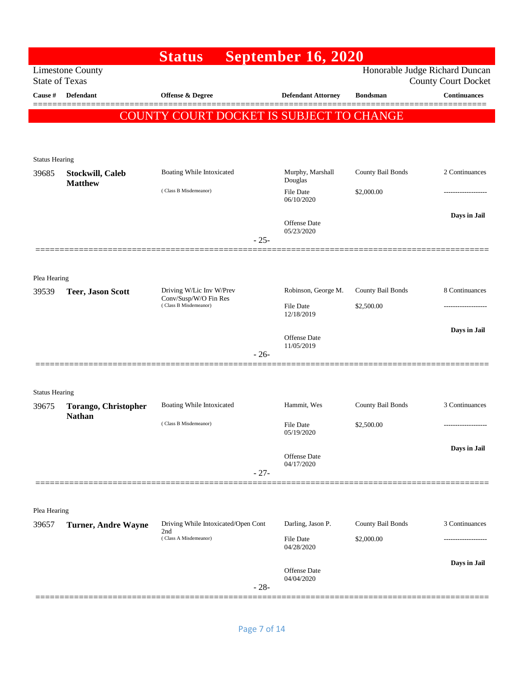|                       |                                    | <b>Status</b>                                     | <b>September 16, 2020</b>         |                   |                                                              |
|-----------------------|------------------------------------|---------------------------------------------------|-----------------------------------|-------------------|--------------------------------------------------------------|
| <b>State of Texas</b> | <b>Limestone County</b>            |                                                   |                                   |                   | Honorable Judge Richard Duncan<br><b>County Court Docket</b> |
| Cause #               | <b>Defendant</b>                   | <b>Offense &amp; Degree</b>                       | <b>Defendant Attorney</b>         | <b>Bondsman</b>   | <b>Continuances</b>                                          |
|                       |                                    | COUNTY COURT DOCKET IS SUBJECT TO CHANGE          |                                   |                   |                                                              |
|                       |                                    |                                                   |                                   |                   |                                                              |
|                       |                                    |                                                   |                                   |                   |                                                              |
| <b>Status Hearing</b> |                                    |                                                   |                                   |                   |                                                              |
| 39685                 | Stockwill, Caleb<br><b>Matthew</b> | Boating While Intoxicated                         | Murphy, Marshall<br>Douglas       | County Bail Bonds | 2 Continuances                                               |
|                       |                                    | (Class B Misdemeanor)                             | <b>File Date</b><br>06/10/2020    | \$2,000.00        |                                                              |
|                       |                                    |                                                   |                                   |                   | Days in Jail                                                 |
|                       |                                    |                                                   | Offense Date<br>05/23/2020        |                   |                                                              |
|                       |                                    | $-25-$                                            |                                   |                   |                                                              |
|                       |                                    |                                                   |                                   |                   |                                                              |
| Plea Hearing          |                                    |                                                   |                                   |                   |                                                              |
| 39539                 | <b>Teer, Jason Scott</b>           | Driving W/Lic Inv W/Prev<br>Conv/Susp/W/O Fin Res | Robinson, George M.               | County Bail Bonds | 8 Continuances                                               |
|                       |                                    | (Class B Misdemeanor)                             | <b>File Date</b><br>12/18/2019    | \$2,500.00        |                                                              |
|                       |                                    |                                                   |                                   |                   | Days in Jail                                                 |
|                       |                                    |                                                   | <b>Offense Date</b><br>11/05/2019 |                   |                                                              |
|                       |                                    | $-26-$                                            |                                   |                   |                                                              |
|                       |                                    |                                                   |                                   |                   |                                                              |
| <b>Status Hearing</b> |                                    |                                                   |                                   |                   |                                                              |
| 39675                 | <b>Torango, Christopher</b>        | Boating While Intoxicated                         | Hammit, Wes                       | County Bail Bonds | 3 Continuances                                               |
|                       | <b>Nathan</b>                      | (Class B Misdemeanor)                             | File Date                         | \$2,500.00        | -------------------                                          |
|                       |                                    |                                                   | 05/19/2020                        |                   |                                                              |
|                       |                                    |                                                   | Offense Date                      |                   | Days in Jail                                                 |
|                       |                                    | $-27-$                                            | 04/17/2020                        |                   |                                                              |
|                       |                                    |                                                   |                                   |                   |                                                              |
| Plea Hearing          |                                    |                                                   |                                   |                   |                                                              |
| 39657                 | <b>Turner, Andre Wayne</b>         | Driving While Intoxicated/Open Cont               | Darling, Jason P.                 | County Bail Bonds | 3 Continuances                                               |
|                       |                                    | 2nd<br>(Class A Misdemeanor)                      | File Date                         | \$2,000.00        |                                                              |
|                       |                                    |                                                   | 04/28/2020                        |                   |                                                              |
|                       |                                    |                                                   | Offense Date<br>04/04/2020        |                   | Days in Jail                                                 |
|                       |                                    | $-28-$                                            |                                   |                   |                                                              |
|                       |                                    |                                                   |                                   |                   |                                                              |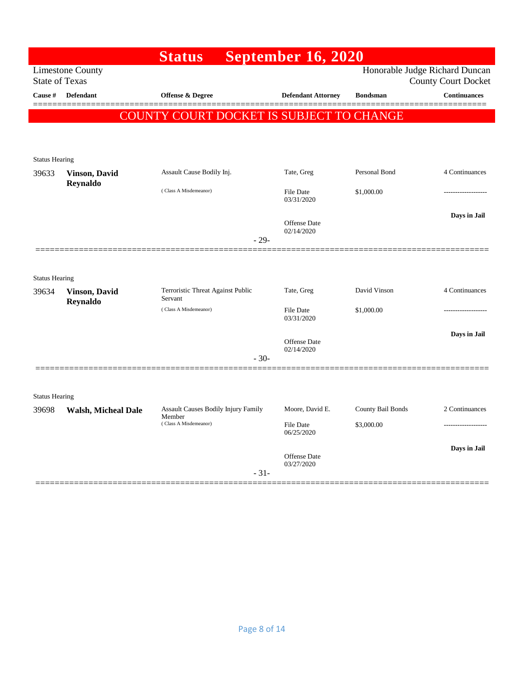|                       |                                   | <b>Status</b>                                | <b>September 16, 2020</b>      |                   |                                |
|-----------------------|-----------------------------------|----------------------------------------------|--------------------------------|-------------------|--------------------------------|
|                       | Limestone County                  |                                              |                                |                   | Honorable Judge Richard Duncan |
| <b>State of Texas</b> |                                   |                                              |                                |                   | <b>County Court Docket</b>     |
| Cause #               | <b>Defendant</b>                  | <b>Offense &amp; Degree</b>                  | <b>Defendant Attorney</b>      | <b>Bondsman</b>   | <b>Continuances</b>            |
|                       | <b>COUNT</b>                      | Y COURT DOCKET IS SUBJECT TO CHANGE          |                                |                   |                                |
|                       |                                   |                                              |                                |                   |                                |
|                       |                                   |                                              |                                |                   |                                |
| <b>Status Hearing</b> |                                   |                                              |                                |                   |                                |
| 39633                 | <b>Vinson</b> , David<br>Reynaldo | Assault Cause Bodily Inj.                    | Tate, Greg                     | Personal Bond     | 4 Continuances                 |
|                       |                                   | (Class A Misdemeanor)                        | File Date<br>03/31/2020        | \$1,000.00        |                                |
|                       |                                   |                                              | Offense Date                   |                   | Days in Jail                   |
|                       |                                   |                                              | 02/14/2020                     |                   |                                |
|                       |                                   | $-29-$                                       |                                |                   |                                |
|                       |                                   |                                              |                                |                   |                                |
| <b>Status Hearing</b> |                                   |                                              |                                |                   |                                |
| 39634                 | <b>Vinson</b> , David<br>Reynaldo | Terroristic Threat Against Public<br>Servant | Tate, Greg                     | David Vinson      | 4 Continuances                 |
|                       |                                   | (Class A Misdemeanor)                        | <b>File Date</b><br>03/31/2020 | \$1,000.00        |                                |
|                       |                                   |                                              | <b>Offense</b> Date            |                   | Days in Jail                   |
|                       |                                   |                                              | 02/14/2020                     |                   |                                |
|                       |                                   | $-30-$                                       |                                |                   |                                |
|                       |                                   |                                              |                                |                   |                                |
| <b>Status Hearing</b> |                                   |                                              |                                |                   |                                |
| 39698                 | <b>Walsh, Micheal Dale</b>        | Assault Causes Bodily Injury Family          | Moore, David E.                | County Bail Bonds | 2 Continuances                 |
|                       |                                   | Member<br>(Class A Misdemeanor)              | <b>File Date</b><br>06/25/2020 | \$3,000.00        |                                |
|                       |                                   |                                              |                                |                   | Days in Jail                   |
|                       |                                   |                                              | Offense Date<br>03/27/2020     |                   |                                |
|                       |                                   | $-31-$                                       |                                |                   |                                |
|                       |                                   |                                              |                                |                   |                                |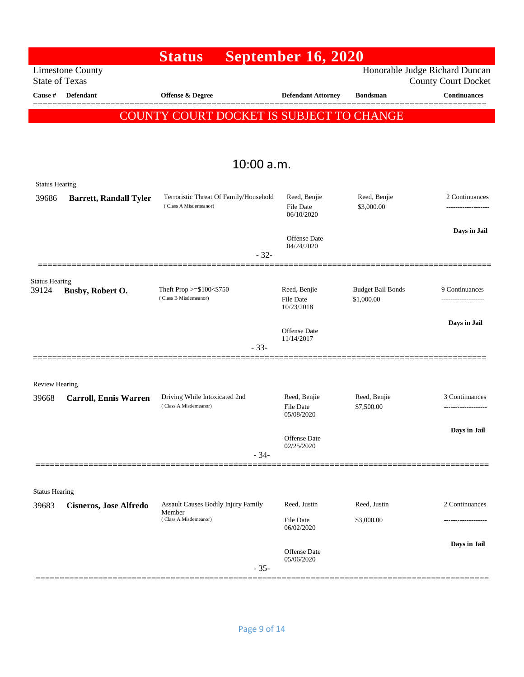|                                                  | <b>Status</b>                                          |                                        | <b>September 16, 2020</b>  |                            |                                                              |
|--------------------------------------------------|--------------------------------------------------------|----------------------------------------|----------------------------|----------------------------|--------------------------------------------------------------|
| <b>Limestone County</b><br><b>State of Texas</b> |                                                        |                                        |                            |                            | Honorable Judge Richard Duncan<br><b>County Court Docket</b> |
| Defendant<br>Cause #                             | Offense & Degree                                       |                                        | <b>Defendant Attorney</b>  | <b>Bondsman</b>            | <b>Continuances</b>                                          |
|                                                  | COUNTY COURT DOCKET IS SUBJECT TO CHANGE               |                                        |                            |                            |                                                              |
|                                                  |                                                        |                                        |                            |                            |                                                              |
|                                                  |                                                        |                                        |                            |                            |                                                              |
|                                                  |                                                        | 10:00 a.m.                             |                            |                            |                                                              |
| <b>Status Hearing</b>                            |                                                        |                                        |                            |                            |                                                              |
| 39686<br><b>Barrett, Randall Tyler</b>           |                                                        | Terroristic Threat Of Family/Household | Reed, Benjie               | Reed, Benjie               | 2 Continuances                                               |
|                                                  | (Class A Misdemeanor)                                  |                                        | File Date<br>06/10/2020    | \$3,000.00                 | .                                                            |
|                                                  |                                                        |                                        |                            |                            | Days in Jail                                                 |
|                                                  |                                                        |                                        | Offense Date<br>04/24/2020 |                            |                                                              |
|                                                  |                                                        | $-32-$                                 |                            |                            |                                                              |
| <b>Status Hearing</b><br>39124                   | Theft Prop >=\$100<\$750                               |                                        | Reed, Benjie               | <b>Budget Bail Bonds</b>   | 9 Continuances                                               |
| Busby, Robert O.                                 | (Class B Misdemeanor)                                  |                                        | File Date<br>10/23/2018    | \$1,000.00                 | .                                                            |
|                                                  |                                                        |                                        |                            |                            | Days in Jail                                                 |
|                                                  |                                                        |                                        | Offense Date<br>11/14/2017 |                            |                                                              |
|                                                  |                                                        | $-33-$                                 |                            |                            |                                                              |
|                                                  |                                                        |                                        |                            |                            |                                                              |
| <b>Review Hearing</b>                            |                                                        |                                        |                            |                            |                                                              |
| 39668<br><b>Carroll, Ennis Warren</b>            | Driving While Intoxicated 2nd<br>(Class A Misdemeanor) |                                        | Reed, Benjie<br>File Date  | Reed, Benjie<br>\$7,500.00 | 3 Continuances                                               |
|                                                  |                                                        |                                        | 05/08/2020                 |                            |                                                              |
|                                                  |                                                        |                                        | Offense Date               |                            | Days in Jail                                                 |
|                                                  |                                                        | $-34-$                                 | 02/25/2020                 |                            |                                                              |
|                                                  |                                                        |                                        |                            |                            |                                                              |
| <b>Status Hearing</b>                            |                                                        |                                        |                            |                            |                                                              |
| 39683<br><b>Cisneros, Jose Alfredo</b>           | Assault Causes Bodily Injury Family<br>Member          |                                        | Reed, Justin               | Reed, Justin               | 2 Continuances                                               |
|                                                  | (Class A Misdemeanor)                                  |                                        | File Date<br>06/02/2020    | \$3,000.00                 |                                                              |
|                                                  |                                                        |                                        |                            |                            | Days in Jail                                                 |
|                                                  |                                                        |                                        | Offense Date<br>05/06/2020 |                            |                                                              |
|                                                  |                                                        | $-35-$                                 |                            |                            |                                                              |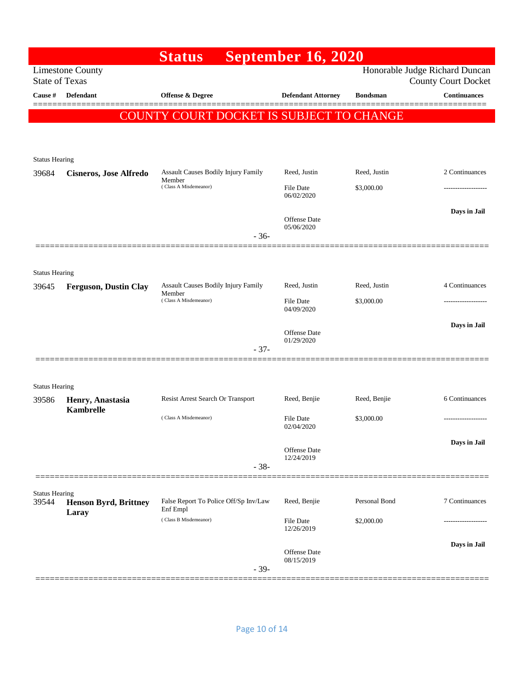|                                |                                      | <b>Status</b>                                                                 | <b>September 16, 2020</b>      |                 |                                                              |
|--------------------------------|--------------------------------------|-------------------------------------------------------------------------------|--------------------------------|-----------------|--------------------------------------------------------------|
| <b>State of Texas</b>          | <b>Limestone County</b>              |                                                                               |                                |                 | Honorable Judge Richard Duncan<br><b>County Court Docket</b> |
| Cause #                        | <b>Defendant</b>                     | Offense & Degree                                                              | <b>Defendant Attorney</b>      | <b>Bondsman</b> | <b>Continuances</b>                                          |
|                                |                                      | <b>COUNTY COURT DOCKET IS SUBJECT TO CHANGE</b>                               |                                |                 |                                                              |
|                                |                                      |                                                                               |                                |                 |                                                              |
| <b>Status Hearing</b>          |                                      |                                                                               |                                |                 |                                                              |
| 39684                          | <b>Cisneros, Jose Alfredo</b>        | Assault Causes Bodily Injury Family<br>Member                                 | Reed, Justin                   | Reed, Justin    | 2 Continuances                                               |
|                                |                                      | (Class A Misdemeanor)                                                         | File Date<br>06/02/2020        | \$3,000.00      |                                                              |
|                                |                                      | $-36-$                                                                        | Offense Date<br>05/06/2020     |                 | Days in Jail                                                 |
|                                |                                      |                                                                               |                                |                 |                                                              |
| <b>Status Hearing</b>          |                                      |                                                                               |                                |                 |                                                              |
| 39645                          | <b>Ferguson, Dustin Clay</b>         | <b>Assault Causes Bodily Injury Family</b><br>Member<br>(Class A Misdemeanor) | Reed, Justin                   | Reed, Justin    | 4 Continuances                                               |
|                                |                                      |                                                                               | File Date<br>04/09/2020        | \$3,000.00      | ---------------                                              |
|                                |                                      |                                                                               | Offense Date                   |                 | Days in Jail                                                 |
|                                |                                      | $-37-$                                                                        | 01/29/2020                     |                 |                                                              |
|                                |                                      |                                                                               |                                |                 |                                                              |
| <b>Status Hearing</b>          |                                      |                                                                               |                                |                 |                                                              |
| 39586                          | Henry, Anastasia<br><b>Kambrelle</b> | Resist Arrest Search Or Transport                                             | Reed, Benjie                   | Reed, Benjie    | 6 Continuances                                               |
|                                |                                      | (Class A Misdemeanor)                                                         | <b>File Date</b><br>02/04/2020 | \$3,000.00      | ---------------                                              |
|                                |                                      | $-38-$                                                                        | Offense Date<br>12/24/2019     |                 | Days in Jail                                                 |
|                                |                                      |                                                                               |                                |                 |                                                              |
| <b>Status Hearing</b><br>39544 | <b>Henson Byrd, Brittney</b>         | False Report To Police Off/Sp Inv/Law<br>Enf Empl                             | Reed, Benjie                   | Personal Bond   | 7 Continuances                                               |
|                                | Laray                                | (Class B Misdemeanor)                                                         | <b>File Date</b><br>12/26/2019 | \$2,000.00      |                                                              |
|                                |                                      | $-39-$                                                                        | Offense Date<br>08/15/2019     |                 | Days in Jail                                                 |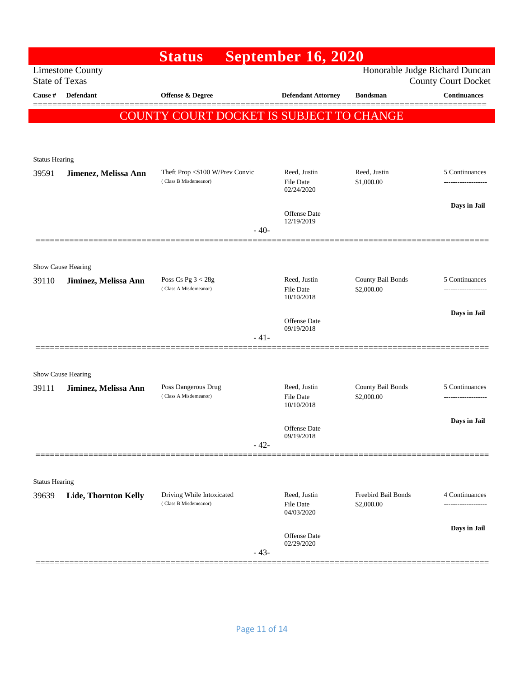|                       |                         | <b>Status</b>                                      | <b>September 16, 2020</b>         |                                   |                                                              |
|-----------------------|-------------------------|----------------------------------------------------|-----------------------------------|-----------------------------------|--------------------------------------------------------------|
| <b>State of Texas</b> | <b>Limestone County</b> |                                                    |                                   |                                   | Honorable Judge Richard Duncan<br><b>County Court Docket</b> |
| Cause #               | <b>Defendant</b>        | Offense & Degree                                   | <b>Defendant Attorney</b>         | <b>Bondsman</b>                   | <b>Continuances</b>                                          |
|                       |                         | COUNTY COURT DOCKET IS SUBJECT TO CHANGE           |                                   |                                   |                                                              |
|                       |                         |                                                    |                                   |                                   |                                                              |
|                       |                         |                                                    |                                   |                                   |                                                              |
| <b>Status Hearing</b> |                         | Theft Prop <\$100 W/Prev Convic                    | Reed, Justin                      | Reed, Justin                      | 5 Continuances                                               |
| 39591                 | Jimenez, Melissa Ann    | (Class B Misdemeanor)                              | <b>File Date</b>                  | \$1,000.00                        |                                                              |
|                       |                         |                                                    | 02/24/2020                        |                                   | Days in Jail                                                 |
|                       |                         |                                                    | Offense Date<br>12/19/2019        |                                   |                                                              |
|                       |                         | $-40-$                                             |                                   |                                   |                                                              |
|                       |                         |                                                    |                                   |                                   |                                                              |
|                       | Show Cause Hearing      |                                                    |                                   |                                   |                                                              |
| 39110                 | Jiminez, Melissa Ann    | Poss Cs Pg $3 < 28g$<br>(Class A Misdemeanor)      | Reed, Justin<br><b>File Date</b>  | County Bail Bonds<br>\$2,000.00   | 5 Continuances                                               |
|                       |                         |                                                    | 10/10/2018                        |                                   |                                                              |
|                       |                         |                                                    | Offense Date                      |                                   | Days in Jail                                                 |
|                       |                         | $-41-$                                             | 09/19/2018                        |                                   |                                                              |
|                       |                         |                                                    |                                   |                                   |                                                              |
|                       | Show Cause Hearing      |                                                    |                                   |                                   |                                                              |
| 39111                 | Jiminez, Melissa Ann    | Poss Dangerous Drug                                | Reed, Justin                      | County Bail Bonds                 | 5 Continuances                                               |
|                       |                         | (Class A Misdemeanor)                              | <b>File Date</b><br>10/10/2018    | \$2,000.00                        |                                                              |
|                       |                         |                                                    |                                   |                                   | Days in Jail                                                 |
|                       |                         |                                                    | Offense Date<br>09/19/2018        |                                   |                                                              |
|                       |                         | $-42-$                                             |                                   |                                   |                                                              |
|                       |                         |                                                    |                                   |                                   |                                                              |
| <b>Status Hearing</b> |                         |                                                    |                                   |                                   |                                                              |
| 39639                 | Lide, Thornton Kelly    | Driving While Intoxicated<br>(Class B Misdemeanor) | Reed, Justin<br>File Date         | Freebird Bail Bonds<br>\$2,000.00 | 4 Continuances<br>-------------------                        |
|                       |                         |                                                    | 04/03/2020                        |                                   |                                                              |
|                       |                         |                                                    | <b>Offense Date</b><br>02/29/2020 |                                   | Days in Jail                                                 |
|                       |                         | $-43-$                                             |                                   |                                   |                                                              |
|                       |                         |                                                    |                                   |                                   |                                                              |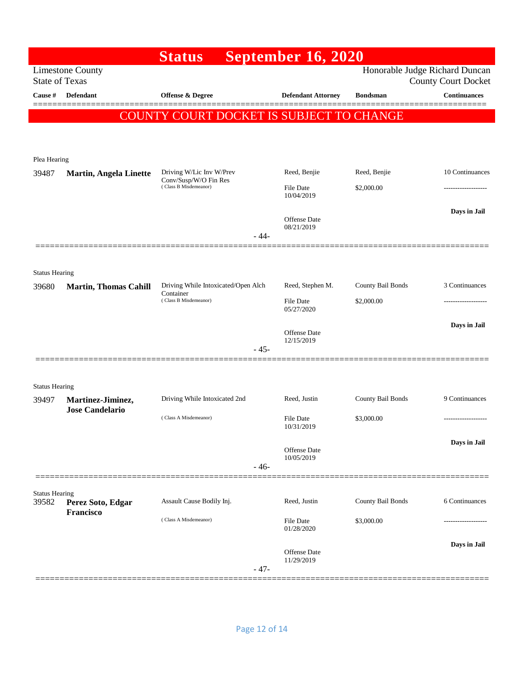|                                |                                                                    | <b>Status</b>                                  |        | <b>September 16, 2020</b>      |                   |                                                              |
|--------------------------------|--------------------------------------------------------------------|------------------------------------------------|--------|--------------------------------|-------------------|--------------------------------------------------------------|
| <b>State of Texas</b>          | <b>Limestone County</b>                                            |                                                |        |                                |                   | Honorable Judge Richard Duncan<br><b>County Court Docket</b> |
| Cause #                        | Defendant                                                          | Offense & Degree                               |        | <b>Defendant Attorney</b>      | <b>Bondsman</b>   | <b>Continuances</b>                                          |
|                                |                                                                    | COUNTY COURT DOCKET IS SUBJECT TO CHANGE       |        |                                |                   |                                                              |
|                                |                                                                    |                                                |        |                                |                   |                                                              |
|                                |                                                                    |                                                |        |                                |                   |                                                              |
| Plea Hearing<br>39487          | <b>Martin, Angela Linette</b>                                      | Driving W/Lic Inv W/Prev                       |        | Reed, Benjie                   | Reed, Benjie      | 10 Continuances                                              |
|                                |                                                                    | Conv/Susp/W/O Fin Res<br>(Class B Misdemeanor) |        | File Date                      | \$2,000.00        |                                                              |
|                                |                                                                    |                                                |        | 10/04/2019                     |                   | Days in Jail                                                 |
|                                |                                                                    |                                                |        | Offense Date<br>08/21/2019     |                   |                                                              |
|                                |                                                                    |                                                | - 44-  |                                |                   |                                                              |
|                                |                                                                    |                                                |        |                                |                   |                                                              |
| <b>Status Hearing</b>          |                                                                    |                                                |        |                                |                   |                                                              |
| 39680                          | <b>Martin, Thomas Cahill</b><br>Container<br>(Class B Misdemeanor) | Driving While Intoxicated/Open Alch            |        | Reed, Stephen M.               | County Bail Bonds | 3 Continuances                                               |
|                                |                                                                    |                                                |        | <b>File Date</b><br>05/27/2020 | \$2,000.00        |                                                              |
|                                |                                                                    |                                                |        | Offense Date                   |                   | Days in Jail                                                 |
|                                |                                                                    |                                                | $-45-$ | 12/15/2019                     |                   |                                                              |
|                                |                                                                    |                                                |        |                                |                   |                                                              |
| <b>Status Hearing</b>          |                                                                    |                                                |        |                                |                   |                                                              |
| 39497                          | Martinez-Jiminez,                                                  | Driving While Intoxicated 2nd                  |        | Reed, Justin                   | County Bail Bonds | 9 Continuances                                               |
|                                | <b>Jose Candelario</b>                                             | (Class A Misdemeanor)                          |        | File Date                      | \$3,000.00        | -------------------                                          |
|                                |                                                                    |                                                |        | 10/31/2019                     |                   |                                                              |
|                                |                                                                    |                                                |        | Offense Date                   |                   | Days in Jail                                                 |
|                                |                                                                    |                                                | $-46-$ | 10/05/2019                     |                   |                                                              |
|                                |                                                                    |                                                |        |                                |                   |                                                              |
| <b>Status Hearing</b><br>39582 | Perez Soto, Edgar                                                  | Assault Cause Bodily Inj.                      |        | Reed, Justin                   | County Bail Bonds | 6 Continuances                                               |
|                                | Francisco                                                          | (Class A Misdemeanor)                          |        | <b>File Date</b>               | \$3,000.00        |                                                              |
|                                |                                                                    |                                                |        | 01/28/2020                     |                   | Days in Jail                                                 |
|                                |                                                                    |                                                |        | Offense Date<br>11/29/2019     |                   |                                                              |
|                                |                                                                    |                                                | $-47-$ |                                |                   |                                                              |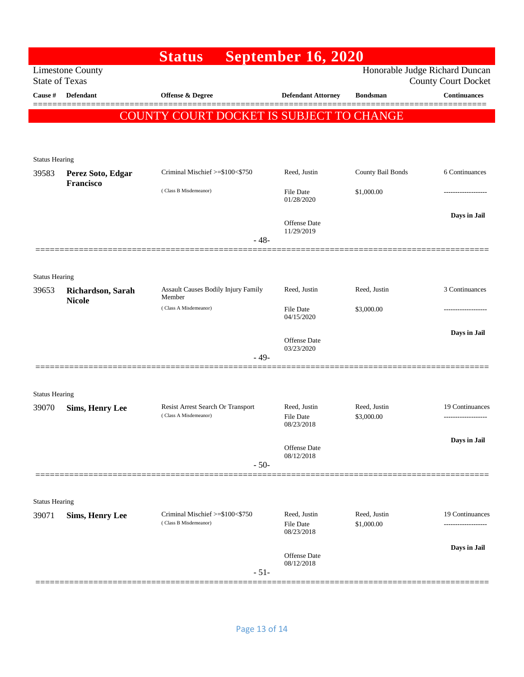| Honorable Judge Richard Duncan<br><b>Limestone County</b><br><b>State of Texas</b><br><b>County Court Docket</b><br>Cause #<br><b>Defendant</b><br>Offense & Degree<br><b>Defendant Attorney</b><br><b>Bondsman</b><br>COUNTY COURT DOCKET IS SUBJECT TO CHANGE<br><b>Status Hearing</b><br>Criminal Mischief >=\$100<\$750<br>County Bail Bonds<br>Reed, Justin<br>39583<br>Perez Soto, Edgar<br>Francisco<br>(Class B Misdemeanor)<br><b>File Date</b><br>\$1,000.00<br>01/28/2020<br>Offense Date<br>11/29/2019<br>$-48-$<br><b>Status Hearing</b><br>Assault Causes Bodily Injury Family<br>Reed, Justin<br>Reed, Justin<br>39653<br>Richardson, Sarah<br>Member<br><b>Nicole</b><br>(Class A Misdemeanor)<br>\$3,000.00<br><b>File Date</b><br>04/15/2020<br>Offense Date<br>03/23/2020<br>$-49-$<br><b>Status Hearing</b><br><b>Resist Arrest Search Or Transport</b><br>Reed, Justin<br>Reed, Justin<br>39070<br><b>Sims, Henry Lee</b><br>(Class A Misdemeanor)<br><b>File Date</b><br>\$3,000.00<br>08/23/2018<br>Offense Date<br>08/12/2018<br>$-50-$<br><b>Status Hearing</b><br>Criminal Mischief >=\$100<\$750<br>Reed, Justin<br>Reed, Justin<br><b>Sims, Henry Lee</b><br>39071<br>(Class B Misdemeanor)<br><b>File Date</b><br>\$1,000.00<br>.<br>08/23/2018<br>Days in Jail<br>Offense Date<br>08/12/2018 |  |  | <b>Status</b> | <b>September 16, 2020</b> |                                        |
|----------------------------------------------------------------------------------------------------------------------------------------------------------------------------------------------------------------------------------------------------------------------------------------------------------------------------------------------------------------------------------------------------------------------------------------------------------------------------------------------------------------------------------------------------------------------------------------------------------------------------------------------------------------------------------------------------------------------------------------------------------------------------------------------------------------------------------------------------------------------------------------------------------------------------------------------------------------------------------------------------------------------------------------------------------------------------------------------------------------------------------------------------------------------------------------------------------------------------------------------------------------------------------------------------------------------------|--|--|---------------|---------------------------|----------------------------------------|
|                                                                                                                                                                                                                                                                                                                                                                                                                                                                                                                                                                                                                                                                                                                                                                                                                                                                                                                                                                                                                                                                                                                                                                                                                                                                                                                            |  |  |               |                           |                                        |
|                                                                                                                                                                                                                                                                                                                                                                                                                                                                                                                                                                                                                                                                                                                                                                                                                                                                                                                                                                                                                                                                                                                                                                                                                                                                                                                            |  |  |               |                           | <b>Continuances</b>                    |
|                                                                                                                                                                                                                                                                                                                                                                                                                                                                                                                                                                                                                                                                                                                                                                                                                                                                                                                                                                                                                                                                                                                                                                                                                                                                                                                            |  |  |               |                           |                                        |
|                                                                                                                                                                                                                                                                                                                                                                                                                                                                                                                                                                                                                                                                                                                                                                                                                                                                                                                                                                                                                                                                                                                                                                                                                                                                                                                            |  |  |               |                           |                                        |
|                                                                                                                                                                                                                                                                                                                                                                                                                                                                                                                                                                                                                                                                                                                                                                                                                                                                                                                                                                                                                                                                                                                                                                                                                                                                                                                            |  |  |               |                           |                                        |
|                                                                                                                                                                                                                                                                                                                                                                                                                                                                                                                                                                                                                                                                                                                                                                                                                                                                                                                                                                                                                                                                                                                                                                                                                                                                                                                            |  |  |               |                           | 6 Continuances                         |
|                                                                                                                                                                                                                                                                                                                                                                                                                                                                                                                                                                                                                                                                                                                                                                                                                                                                                                                                                                                                                                                                                                                                                                                                                                                                                                                            |  |  |               |                           |                                        |
|                                                                                                                                                                                                                                                                                                                                                                                                                                                                                                                                                                                                                                                                                                                                                                                                                                                                                                                                                                                                                                                                                                                                                                                                                                                                                                                            |  |  |               |                           | Days in Jail                           |
|                                                                                                                                                                                                                                                                                                                                                                                                                                                                                                                                                                                                                                                                                                                                                                                                                                                                                                                                                                                                                                                                                                                                                                                                                                                                                                                            |  |  |               |                           |                                        |
|                                                                                                                                                                                                                                                                                                                                                                                                                                                                                                                                                                                                                                                                                                                                                                                                                                                                                                                                                                                                                                                                                                                                                                                                                                                                                                                            |  |  |               |                           |                                        |
|                                                                                                                                                                                                                                                                                                                                                                                                                                                                                                                                                                                                                                                                                                                                                                                                                                                                                                                                                                                                                                                                                                                                                                                                                                                                                                                            |  |  |               |                           |                                        |
|                                                                                                                                                                                                                                                                                                                                                                                                                                                                                                                                                                                                                                                                                                                                                                                                                                                                                                                                                                                                                                                                                                                                                                                                                                                                                                                            |  |  |               |                           | 3 Continuances                         |
|                                                                                                                                                                                                                                                                                                                                                                                                                                                                                                                                                                                                                                                                                                                                                                                                                                                                                                                                                                                                                                                                                                                                                                                                                                                                                                                            |  |  |               |                           | ---------------                        |
|                                                                                                                                                                                                                                                                                                                                                                                                                                                                                                                                                                                                                                                                                                                                                                                                                                                                                                                                                                                                                                                                                                                                                                                                                                                                                                                            |  |  |               |                           | Days in Jail                           |
|                                                                                                                                                                                                                                                                                                                                                                                                                                                                                                                                                                                                                                                                                                                                                                                                                                                                                                                                                                                                                                                                                                                                                                                                                                                                                                                            |  |  |               |                           |                                        |
|                                                                                                                                                                                                                                                                                                                                                                                                                                                                                                                                                                                                                                                                                                                                                                                                                                                                                                                                                                                                                                                                                                                                                                                                                                                                                                                            |  |  |               |                           |                                        |
|                                                                                                                                                                                                                                                                                                                                                                                                                                                                                                                                                                                                                                                                                                                                                                                                                                                                                                                                                                                                                                                                                                                                                                                                                                                                                                                            |  |  |               |                           |                                        |
|                                                                                                                                                                                                                                                                                                                                                                                                                                                                                                                                                                                                                                                                                                                                                                                                                                                                                                                                                                                                                                                                                                                                                                                                                                                                                                                            |  |  |               |                           |                                        |
|                                                                                                                                                                                                                                                                                                                                                                                                                                                                                                                                                                                                                                                                                                                                                                                                                                                                                                                                                                                                                                                                                                                                                                                                                                                                                                                            |  |  |               |                           | 19 Continuances<br>------------------- |
|                                                                                                                                                                                                                                                                                                                                                                                                                                                                                                                                                                                                                                                                                                                                                                                                                                                                                                                                                                                                                                                                                                                                                                                                                                                                                                                            |  |  |               |                           | Days in Jail                           |
|                                                                                                                                                                                                                                                                                                                                                                                                                                                                                                                                                                                                                                                                                                                                                                                                                                                                                                                                                                                                                                                                                                                                                                                                                                                                                                                            |  |  |               |                           |                                        |
|                                                                                                                                                                                                                                                                                                                                                                                                                                                                                                                                                                                                                                                                                                                                                                                                                                                                                                                                                                                                                                                                                                                                                                                                                                                                                                                            |  |  |               |                           |                                        |
|                                                                                                                                                                                                                                                                                                                                                                                                                                                                                                                                                                                                                                                                                                                                                                                                                                                                                                                                                                                                                                                                                                                                                                                                                                                                                                                            |  |  |               |                           |                                        |
|                                                                                                                                                                                                                                                                                                                                                                                                                                                                                                                                                                                                                                                                                                                                                                                                                                                                                                                                                                                                                                                                                                                                                                                                                                                                                                                            |  |  |               |                           |                                        |
|                                                                                                                                                                                                                                                                                                                                                                                                                                                                                                                                                                                                                                                                                                                                                                                                                                                                                                                                                                                                                                                                                                                                                                                                                                                                                                                            |  |  |               |                           | 19 Continuances                        |
|                                                                                                                                                                                                                                                                                                                                                                                                                                                                                                                                                                                                                                                                                                                                                                                                                                                                                                                                                                                                                                                                                                                                                                                                                                                                                                                            |  |  |               |                           |                                        |
|                                                                                                                                                                                                                                                                                                                                                                                                                                                                                                                                                                                                                                                                                                                                                                                                                                                                                                                                                                                                                                                                                                                                                                                                                                                                                                                            |  |  | $-51-$        |                           |                                        |